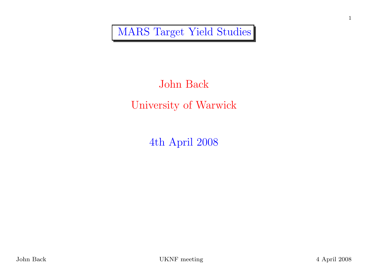MARS Target Yield Studies

## John BackUniversity of Warwick

4th April <sup>2008</sup>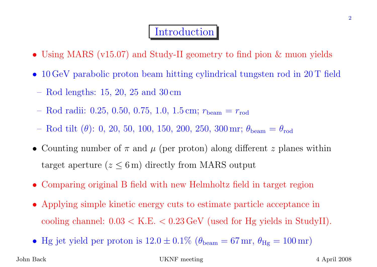## **Introduction**

- Using MARS (v15.07) and Study-II geometry to find <sup>p</sup>ion & muon <sup>y</sup>ields
- <sup>10</sup> GeV parabolic proton beam hitting cylindrical tungsten rod in <sup>20</sup> <sup>T</sup> field
- Rod lengths: 15, 20, <sup>25</sup> and <sup>30</sup> cm
- Rod radii: 0.25, 0.50, 0.75, 1.0, 1.5 cm;  $r_{\text{beam}} = r_{\text{rod}}$
- Rod tilt  $(\theta)$ : 0, 20, 50, 100, 150, 200, 250, 300 mr;  $\theta_{\text{beam}}$  $_{\rm m}=\theta_{\rm rod}$
- Counting number of  $\pi$  and  $\mu$  (per proton) along different z planes within target aperture  $(z \leq 6 \,\mathrm{m})$  directly from MARS output
- Comparing original <sup>B</sup> field with new Helmholtz field in target region
- Applying simple kinetic energy cuts to estimate particle acceptance incooling channel:  $0.03 < K.E. < 0.23 \,\text{GeV}$  (used for Hg yields in StudyII).
- Hg jet yield per proton is  $12.0 \pm 0.1\%$  ( $\theta_{\text{beam}} = 67 \text{ mr}$ ,  $\theta_{\text{Hg}} = 100 \text{ mr}$ )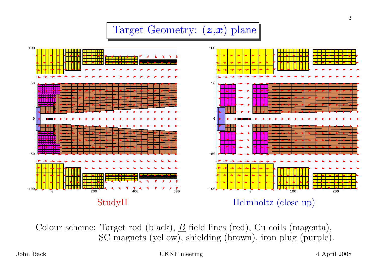## Target Geometry:  $(z,x)$  plane



Colour scheme: Target rod (black),  $\underline{B}$  field lines (red), Cu coils (magenta),<br>SC magneta (vellow), shielding (brown), iron plug (purple) SC magnets (yellow), shielding (brown), iron <sup>p</sup>lug (purple).

k UKNF meeting 4 April 2008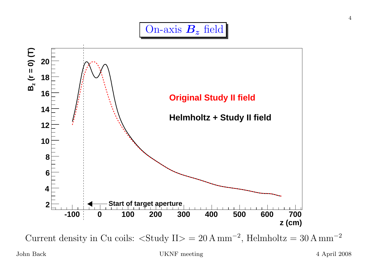



Current density in Cu coils:  $\langle$ Study II> = 20 A mm<sup>-2</sup>, Helmholtz = 30 A mm<sup>-2</sup>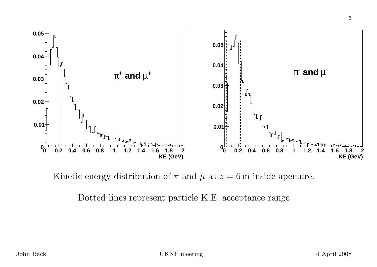

Kinetic energy distribution of  $\pi$  and  $\mu$  at  $z = 6$  m inside aperture.

Dotted lines represent particle K.E. acceptance range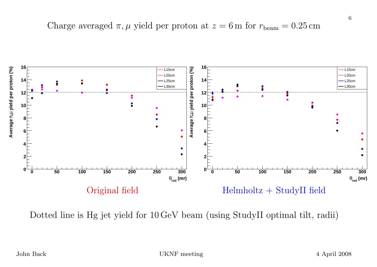Charge averaged  $\pi, \mu$  yield per proton at  $z = 6$  m for  $r_{\text{beam}} = 0.25 \text{ cm}$ 



Dotted line is Hg jet <sup>y</sup>ield for <sup>10</sup> GeV beam (using StudyII optimal tilt, radii)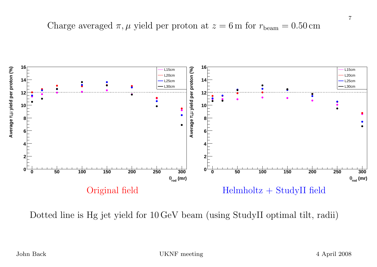Charge averaged  $\pi, \mu$  yield per proton at  $z = 6$  m for  $r_{\text{beam}} = 0.50 \text{ cm}$ 



Dotted line is Hg jet <sup>y</sup>ield for <sup>10</sup> GeV beam (using StudyII optimal tilt, radii)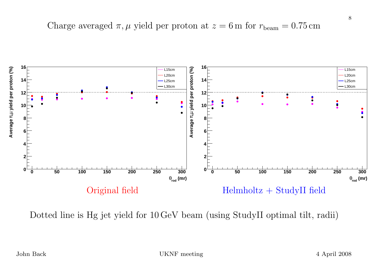Charge averaged  $\pi, \mu$  yield per proton at  $z = 6$  m for  $r_{\text{beam}} = 0.75 \text{ cm}$ 



Dotted line is Hg jet <sup>y</sup>ield for <sup>10</sup> GeV beam (using StudyII optimal tilt, radii)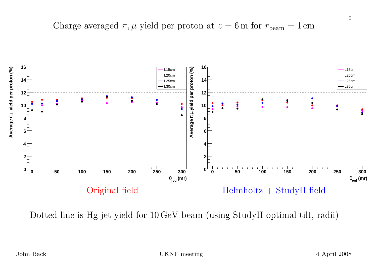Charge averaged  $\pi$ ,  $\mu$  yield per proton at  $z = 6$  m for  $r_{\text{beam}} = 1 \text{ cm}$ 



Dotted line is Hg jet <sup>y</sup>ield for <sup>10</sup> GeV beam (using StudyII optimal tilt, radii)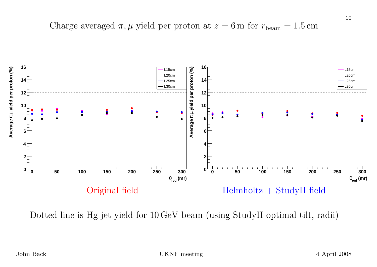Charge averaged  $\pi, \mu$  yield per proton at  $z = 6$  m for  $r_{\text{beam}} = 1.5 \text{ cm}$ 



Dotted line is Hg jet <sup>y</sup>ield for <sup>10</sup> GeV beam (using StudyII optimal tilt, radii)